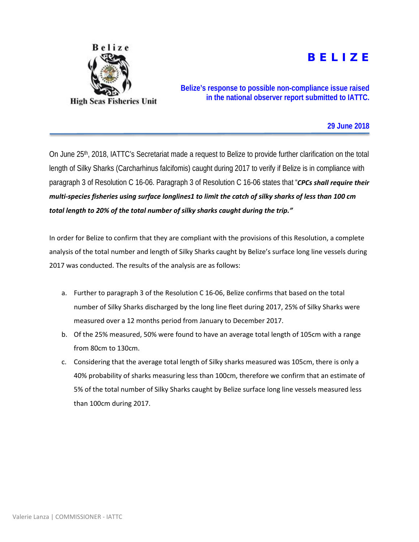

## B E L I Z E

**Belize's response to possible non-compliance issue raised in the national observer report submitted to IATTC.** 

## **29 June 2018**

On June 25<sup>th</sup>, 2018, IATTC's Secretariat made a request to Belize to provide further clarification on the total length of Silky Sharks (Carcharhinus falcifomis) caught during 2017 to verify if Belize is in compliance with paragraph 3 of Resolution C 16-06. Paragraph 3 of Resolution C 16-06 states that "*CPCs shall require their multi-species fisheries using surface longlines1 to limit the catch of silky sharks of less than 100 cm total length to 20% of the total number of silky sharks caught during the trip."*

In order for Belize to confirm that they are compliant with the provisions of this Resolution, a complete analysis of the total number and length of Silky Sharks caught by Belize's surface long line vessels during 2017 was conducted. The results of the analysis are as follows:

- a. Further to paragraph 3 of the Resolution C 16-06, Belize confirms that based on the total number of Silky Sharks discharged by the long line fleet during 2017, 25% of Silky Sharks were measured over a 12 months period from January to December 2017.
- b. Of the 25% measured, 50% were found to have an average total length of 105cm with a range from 80cm to 130cm.
- c. Considering that the average total length of Silky sharks measured was 105cm, there is only a 40% probability of sharks measuring less than 100cm, therefore we confirm that an estimate of 5% of the total number of Silky Sharks caught by Belize surface long line vessels measured less than 100cm during 2017.